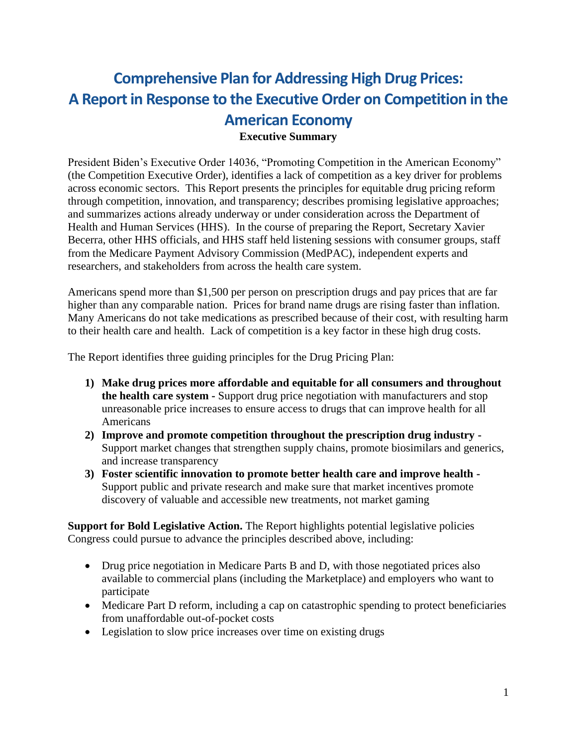## **Comprehensive Plan for Addressing High Drug Prices: A Report in Response to the Executive Order on Competition in the American Economy Executive Summary**

President Biden's Executive Order 14036, "Promoting Competition in the American Economy" (the Competition Executive Order), identifies a lack of competition as a key driver for problems across economic sectors. This Report presents the principles for equitable drug pricing reform through competition, innovation, and transparency; describes promising legislative approaches; and summarizes actions already underway or under consideration across the Department of Health and Human Services (HHS). In the course of preparing the Report, Secretary Xavier Becerra, other HHS officials, and HHS staff held listening sessions with consumer groups, staff from the Medicare Payment Advisory Commission (MedPAC), independent experts and researchers, and stakeholders from across the health care system.

Americans spend more than \$1,500 per person on prescription drugs and pay prices that are far higher than any comparable nation. Prices for brand name drugs are rising faster than inflation. Many Americans do not take medications as prescribed because of their cost, with resulting harm to their health care and health. Lack of competition is a key factor in these high drug costs.

The Report identifies three guiding principles for the Drug Pricing Plan:

- **1) Make drug prices more affordable and equitable for all consumers and throughout the health care system -** Support drug price negotiation with manufacturers and stop unreasonable price increases to ensure access to drugs that can improve health for all Americans
- **2) Improve and promote competition throughout the prescription drug industry -** Support market changes that strengthen supply chains, promote biosimilars and generics, and increase transparency
- **3) Foster scientific innovation to promote better health care and improve health -** Support public and private research and make sure that market incentives promote discovery of valuable and accessible new treatments, not market gaming

**Support for Bold Legislative Action.** The Report highlights potential legislative policies Congress could pursue to advance the principles described above, including:

- Drug price negotiation in Medicare Parts B and D, with those negotiated prices also available to commercial plans (including the Marketplace) and employers who want to participate
- Medicare Part D reform, including a cap on catastrophic spending to protect beneficiaries from unaffordable out-of-pocket costs
- Legislation to slow price increases over time on existing drugs